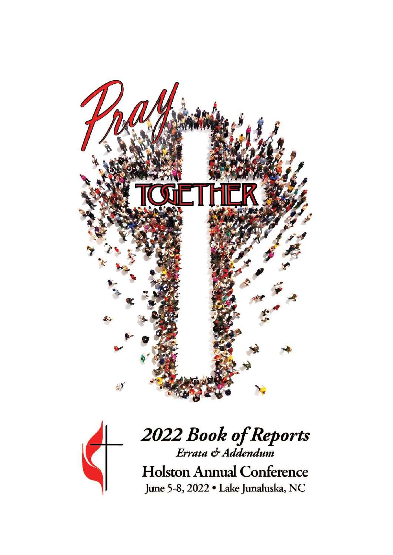



2022 Book of Reports

**Holston Annual Conference** June 5-8, 2022 · Lake Junaluska, NC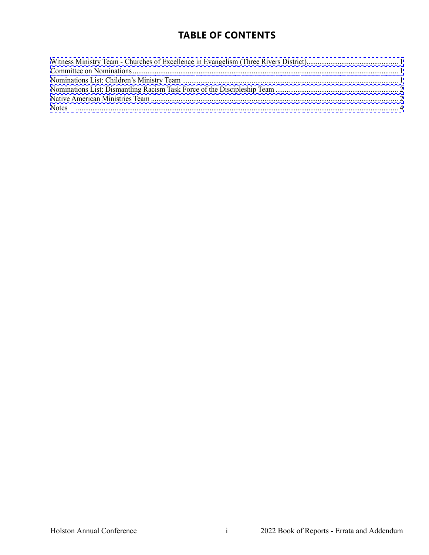# TABLE OF CONTENTS

| <b>TABLE OF CONTENTS</b> |  |  |
|--------------------------|--|--|
|                          |  |  |
|                          |  |  |
|                          |  |  |
|                          |  |  |
|                          |  |  |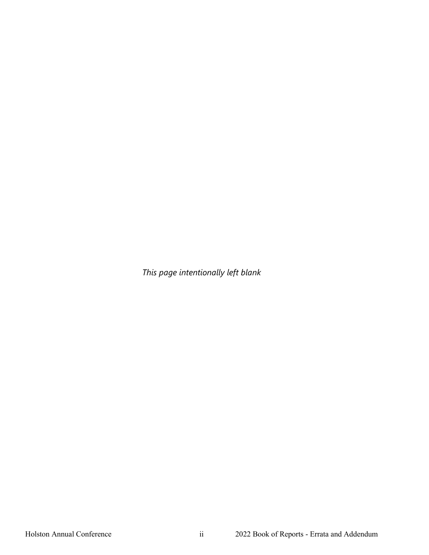This page intentionally left blank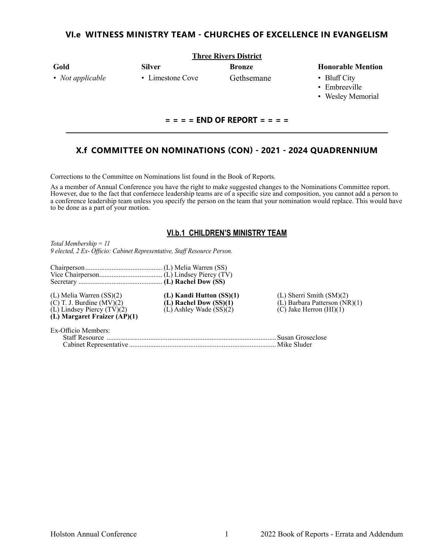### <span id="page-3-0"></span>VI.e WITNESS MINISTRY TEAM - CHURCHES OF EXCELLENCE IN EVANGELISM

| <b>Three Rivers District</b> |                  |               |                                                    |
|------------------------------|------------------|---------------|----------------------------------------------------|
| Gold                         | Silver           | <b>Bronze</b> | <b>Honorable Mention</b>                           |
| • <i>Not applicable</i>      | • Limestone Cove | Gethsemane    | • Bluff City<br>• Embreeville<br>• Wesley Memorial |

#### $= = 1$  = END OF REPORT =  $= 1$

## X.f COMMITTEE ON NOMINATIONS (CON) - 2021 - 2024 QUADRENNIUM

Corrections to the Committee on Nominations list found in the Book of Reports.

As a member of Annual Conference you have the right to make suggested changes to the Nominations Committee report. However, due to the fact that confernece leadership teams are of a specific size and composition, you cannot add a person to a conference leadership team unless you specify the person on the team that your nomination would replace. This would have to be done as a part of your motion.

#### VI.b.1 CHILDREN'S MINISTRY TEAM

Total Membership  $= 11$ 9 elected, 2 Ex- Officio: Cabinet Representative, Staff Resource Person.

(L) Melia Warren (SS)(2) (L) **Kandi Hutton (SS)(1)** (L) Sherri Smith (SM)(2) (C) T. J. Burdine (MV)(2) (L) Rachel Dow (SS)(1) (L) Barbara Patterson (NI  $(L)$  Lindsey Piercy  $(TV)(2)$ (L) Margaret Fraizer (AP)(1)

(L) Rachel Dow (SS)(1) (L) Barbara Patterson (NR)(1) (L) Ashley Wade (SS)(2) (C) Jake Herron (HI)(1)

Ex-Officio Members:

Staff Resource ................................................................................................. Susan Groseclose Cabinet Representative .................................................................................... Mike Sluder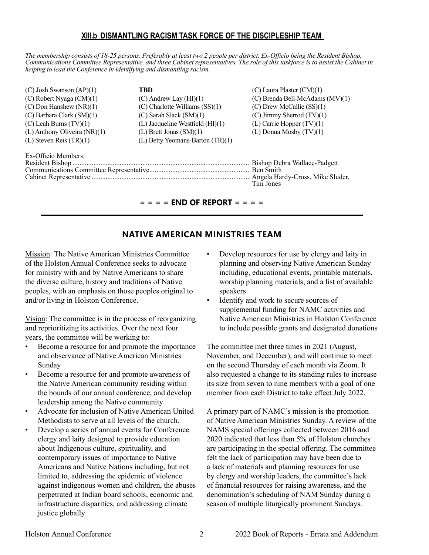## XIII.b DISMANTLING RACISM TASK FORCE OF THE DISCIPLESHIP TEAM

<span id="page-4-0"></span>The membership consists of 18-25 persons. Preferably at least two 2 people per district. Ex-Officio being the Resident Bishop, Communications Committee Representative, and three Cabinet representatives. The role of this taskforce is to assist the Cabinet in helping to lead the Conference in identifying and dismantling racism.

| TBD                                  | $(C)$ Laura Plaster $(CM)(1)$   |
|--------------------------------------|---------------------------------|
| $(C)$ Andrew Lay $(HI)(1)$           | (C) Brenda Bell-McAdams (MV)(1) |
| $(C)$ Charlotte Williams $(SS)(1)$   | $(C)$ Drew McCallie $(SS)(1)$   |
| (C) Sarah Slack (SM)(1)              | $(C)$ Jimmy Sherrod $(TV)(1)$   |
| $(L)$ Jacqueline Westfield $(HI)(1)$ | $(L)$ Carrie Hopper $(TV)(1)$   |
| $(L)$ Brett Jonas $(SM)(1)$          | $(L)$ Donna Mosby $(TV)(1)$     |
| $(L)$ Betty Yeomans-Barton $(TR)(1)$ |                                 |
|                                      |                                 |
|                                      | Bishop Debra Wallace-Padgett    |
|                                      |                                 |
|                                      | Tim Jones                       |
|                                      |                                 |

#### $= = =$  = END OF REPORT =  $= =$

## NATIVE AMERICAN MINISTRIES TEAM

Mission: The Native American Ministries Committee of the Holston Annual Conference seeks to advocate for ministry with and by Native Americans to share the diverse culture, history and traditions of Native peoples, with an emphasis on those peoples original to and/or living in Holston Conference.

Vision: The committee is in the process of reorganizing and reprioritizing its activities. Over the next four years, the committee will be working to:

- Become a resource for and promote the importance and observance of Native American Ministries Sunday
- Become a resource for and promote awareness of the Native American community residing within the bounds of our annual conference, and develop leadership among the Native community
- Advocate for inclusion of Native American United Methodists to serve at all levels of the church.
- Develop a series of annual events for Conference clergy and laity designed to provide education about Indigenous culture, spirituality, and contemporary issues of importance to Native Americans and Native Nations including, but not limited to, addressing the epidemic of violence against indigenous women and children, the abuses perpetrated at Indian board schools, economic and infrastructure disparities, and addressing climate justice globally
- Develop resources for use by clergy and laity in planning and observing Native American Sunday including, educational events, printable materials, worship planning materials, and a list of available speakers
- Identify and work to secure sources of supplemental funding for NAMC activities and Native American Ministries in Holston Conference to include possible grants and designated donations

The committee met three times in 2021 (August, November, and December), and will continue to meet on the second Thursday of each month via Zoom. It also requested a change to its standing rules to increase its size from seven to nine members with a goal of one member from each District to take effect July 2022.

A primary part of NAMC's mission is the promotion of Native American Ministries Sunday. A review of the NAMS special offerings collected between 2016 and 2020 indicated that less than 5% of Holston churches are participating in the special offering. The committee felt the lack of participation may have been due to a lack of materials and planning resources for use by clergy and worship leaders, the committee's lack of financial resources for raising awareness, and the denomination's scheduling of NAM Sunday during a season of multiple liturgically prominent Sundays.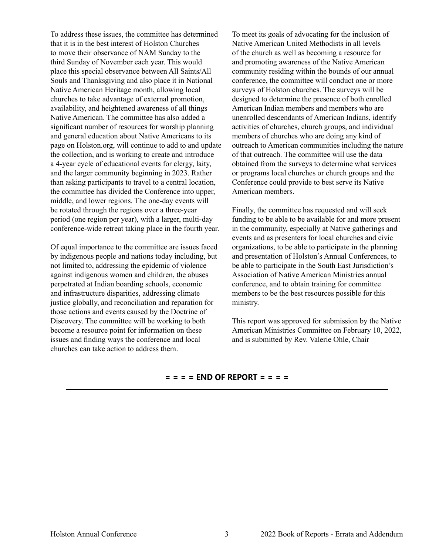To address these issues, the committee has determined that it is in the best interest of Holston Churches to move their observance of NAM Sunday to the third Sunday of November each year. This would place this special observance between All Saints/All Souls and Thanksgiving and also place it in National Native American Heritage month, allowing local churches to take advantage of external promotion, availability, and heightened awareness of all things Native American. The committee has also added a significant number of resources for worship planning and general education about Native Americans to its page on Holston.org, will continue to add to and update the collection, and is working to create and introduce a 4-year cycle of educational events for clergy, laity, and the larger community beginning in 2023. Rather than asking participants to travel to a central location, the committee has divided the Conference into upper, middle, and lower regions. The one-day events will be rotated through the regions over a three-year period (one region per year), with a larger, multi-day conference-wide retreat taking place in the fourth year.

Of equal importance to the committee are issues faced by indigenous people and nations today including, but not limited to, addressing the epidemic of violence against indigenous women and children, the abuses perpetrated at Indian boarding schools, economic and infrastructure disparities, addressing climate justice globally, and reconciliation and reparation for those actions and events caused by the Doctrine of Discovery. The committee will be working to both become a resource point for information on these issues and finding ways the conference and local churches can take action to address them.

To meet its goals of advocating for the inclusion of Native American United Methodists in all levels of the church as well as becoming a resource for and promoting awareness of the Native American community residing within the bounds of our annual conference, the committee will conduct one or more surveys of Holston churches. The surveys will be designed to determine the presence of both enrolled American Indian members and members who are unenrolled descendants of American Indians, identify activities of churches, church groups, and individual members of churches who are doing any kind of outreach to American communities including the nature of that outreach. The committee will use the data obtained from the surveys to determine what services or programs local churches or church groups and the Conference could provide to best serve its Native American members.

Finally, the committee has requested and will seek funding to be able to be available for and more present in the community, especially at Native gatherings and events and as presenters for local churches and civic organizations, to be able to participate in the planning and presentation of Holston's Annual Conferences, to be able to participate in the South East Jurisdiction's Association of Native American Ministries annual conference, and to obtain training for committee members to be the best resources possible for this ministry.

This report was approved for submission by the Native American Ministries Committee on February 10, 2022, and is submitted by Rev. Valerie Ohle, Chair

#### $= = = 2$  = END OF REPORT =  $= 2$